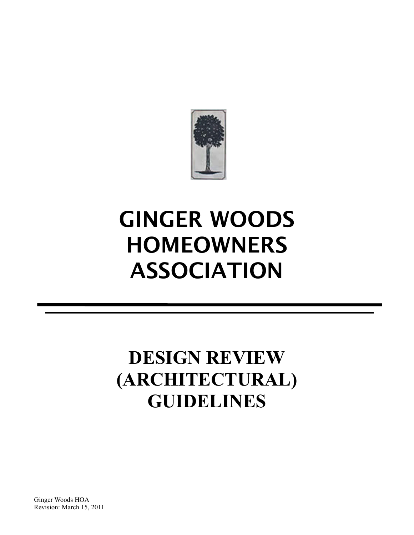

# **GINGER WOODS HOMEOWNERS ASSOCIATION**

## **DESIGN REVIEW (ARCHITECTURAL) GUIDELINES**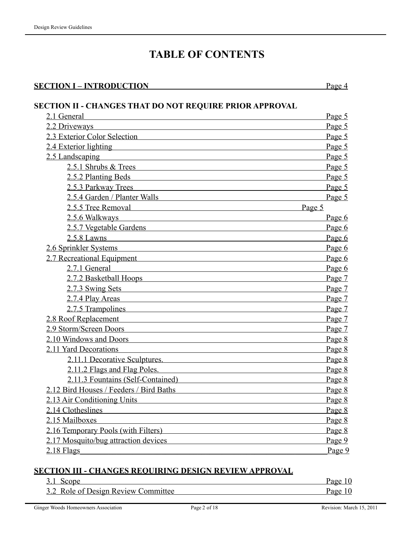### **TABLE OF CONTENTS**

#### **SECTION I – INTRODUCTION** Page 4

#### **SECTION II - CHANGES THAT DO NOT REQUIRE PRIOR APPROVAL**

| 2.1 General                                                | Page 5 |
|------------------------------------------------------------|--------|
| 2.2 Driveways                                              | Page 5 |
| 2.3 Exterior Color Selection                               | Page 5 |
| 2.4 Exterior lighting                                      | Page 5 |
| 2.5 Landscaping                                            | Page 5 |
| $2.5.1$ Shrubs $&$ Trees                                   | Page 5 |
| 2.5.2 Planting Beds                                        | Page 5 |
| 2.5.3 Parkway Trees                                        | Page 5 |
| 2.5.4 Garden / Planter Walls                               | Page 5 |
| 2.5.5 Tree Removal                                         | Page 5 |
| 2.5.6 Walkways                                             | Page 6 |
| 2.5.7 Vegetable Gardens                                    | Page 6 |
| 2.5.8 Lawns                                                | Page 6 |
| 2.6 Sprinkler Systems <b>Example 2.6</b> Sprinkler Systems | Page 6 |
| 2.7 Recreational Equipment                                 | Page 6 |
| 2.7.1 General                                              | Page 6 |
| 2.7.2 Basketball Hoops 2.7.2 Basketball Hoops              | Page 7 |
| 2.7.3 Swing Sets                                           | Page 7 |
| 2.7.4 Play Areas                                           | Page 7 |
| 2.7.5 Trampolines                                          | Page 7 |
| 2.8 Roof Replacement                                       | Page 7 |
| 2.9 Storm/Screen Doors                                     | Page 7 |
| 2.10 Windows and Doors                                     | Page 8 |
| 2.11 Yard Decorations                                      | Page 8 |
| <u>2.11.1 Decorative Sculptures.</u>                       | Page 8 |
| 2.11.2 Flags and Flag Poles.                               | Page 8 |
| 2.11.3 Fountains (Self-Contained)                          | Page 8 |
| 2.12 Bird Houses / Feeders / Bird Baths                    | Page 8 |
| 2.13 Air Conditioning Units                                | Page 8 |
| 2.14 Clotheslines                                          | Page 8 |
| 2.15 Mailboxes                                             | Page 8 |
| 2.16 Temporary Pools (with Filters)                        | Page 8 |
| 2.17 Mosquito/bug attraction devices                       | Page 9 |
| $2.18$ Flags                                               | Page 9 |

#### **SECTION III - CHANGES REQUIRING DESIGN REVIEW APPROVAL**

| $3.1$ Scope                         | Page 10 |
|-------------------------------------|---------|
| 3.2 Role of Design Review Committee | Page 10 |
|                                     |         |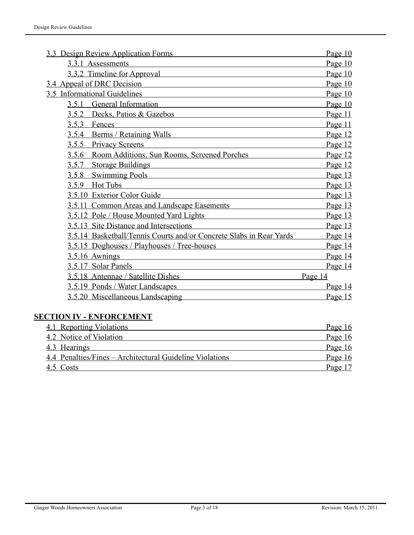| 3.3 Design Review Application Forms                                 | Page 10   |
|---------------------------------------------------------------------|-----------|
| 3.3.1 Assessments                                                   | Page 10   |
| 3.3.2 Timeline for Approval                                         | Page 10   |
| 3.4 Appeal of DRC Decision                                          | Page 10   |
| 3.5 Informational Guidelines                                        | Page 10   |
| General Information<br>3.5.1                                        | Page 10   |
| Decks, Patios & Gazebos<br>3.5.2                                    | Page 11   |
| 3.5.3<br>Fences                                                     | Page 11   |
| <b>Berms / Retaining Walls</b><br>3.5.4                             | Page 12   |
| 3.5.5 Privacy Screens                                               | Page 12   |
| Room Additions, Sun Rooms, Screened Porches<br>3.5.6                | Page 12   |
| <b>Storage Buildings</b><br>3.5.7                                   | Page 12   |
| <b>Swimming Pools</b><br>3.5.8                                      | Page 13   |
| Hot Tubs<br>3.5.9                                                   | Page 13   |
| 3.5.10 Exterior Color Guide                                         | Page 13   |
| 3.5.11 Common Areas and Landscape Easements                         | Page 13   |
| 3.5.12 Pole / House Mounted Yard Lights                             | Page 13   |
| 3.5.13 Site Distance and Intersections                              | Page 13   |
| 3.5.14 Basketball/Tennis Courts and/or Concrete Slabs in Rear Yards | Page 14   |
| 3.5.15 Doghouses / Playhouses / Tree-houses                         | Page 14   |
| 3.5.16 Awnings                                                      | Page 14   |
| 3.5.17 Solar Panels                                                 | Page 14   |
| 3.5.18 Antennae / Satellite Dishes                                  | Page 14   |
| 3.5.19 Ponds / Water Landscapes                                     | Page $14$ |
| 3.5.20 Miscellaneous Landscaping                                    | Page 15   |

#### **SECTION IV - ENFORCEMENT**

| 4.1 Reporting Violations                                 | Page 16 |
|----------------------------------------------------------|---------|
| 4.2 Notice of Violation                                  | Page 16 |
| 4.3 Hearings                                             | Page 16 |
| 4.4 Penalties/Fines – Architectural Guideline Violations | Page 16 |
| 4.5 Costs                                                | Page 17 |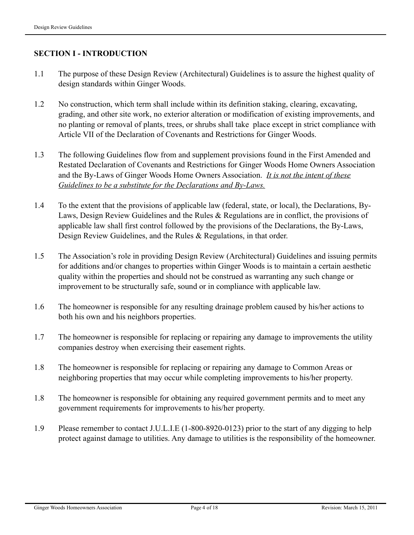#### **SECTION I - INTRODUCTION**

- 1.1 The purpose of these Design Review (Architectural) Guidelines is to assure the highest quality of design standards within Ginger Woods.
- 1.2 No construction, which term shall include within its definition staking, clearing, excavating, grading, and other site work, no exterior alteration or modification of existing improvements, and no planting or removal of plants, trees, or shrubs shall take place except in strict compliance with Article VII of the Declaration of Covenants and Restrictions for Ginger Woods.
- 1.3 The following Guidelines flow from and supplement provisions found in the First Amended and Restated Declaration of Covenants and Restrictions for Ginger Woods Home Owners Association and the By-Laws of Ginger Woods Home Owners Association. *It is not the intent of these Guidelines to be a substitute for the Declarations and By-Laws.*
- 1.4 To the extent that the provisions of applicable law (federal, state, or local), the Declarations, By-Laws, Design Review Guidelines and the Rules & Regulations are in conflict, the provisions of applicable law shall first control followed by the provisions of the Declarations, the By-Laws, Design Review Guidelines, and the Rules & Regulations, in that order.
- 1.5 The Association's role in providing Design Review (Architectural) Guidelines and issuing permits for additions and/or changes to properties within Ginger Woods is to maintain a certain aesthetic quality within the properties and should not be construed as warranting any such change or improvement to be structurally safe, sound or in compliance with applicable law.
- 1.6 The homeowner is responsible for any resulting drainage problem caused by his/her actions to both his own and his neighbors properties.
- 1.7 The homeowner is responsible for replacing or repairing any damage to improvements the utility companies destroy when exercising their easement rights.
- 1.8 The homeowner is responsible for replacing or repairing any damage to Common Areas or neighboring properties that may occur while completing improvements to his/her property.
- 1.8 The homeowner is responsible for obtaining any required government permits and to meet any government requirements for improvements to his/her property.
- 1.9 Please remember to contact J.U.L.I.E (1-800-8920-0123) prior to the start of any digging to help protect against damage to utilities. Any damage to utilities is the responsibility of the homeowner.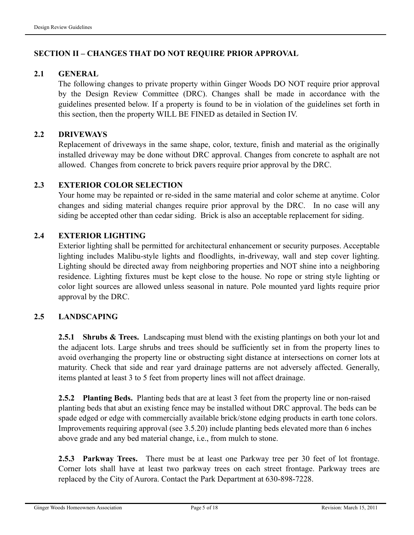#### **SECTION II – CHANGES THAT DO NOT REQUIRE PRIOR APPROVAL**

#### **2.1 GENERAL**

 The following changes to private property within Ginger Woods DO NOT require prior approval by the Design Review Committee (DRC). Changes shall be made in accordance with the guidelines presented below. If a property is found to be in violation of the guidelines set forth in this section, then the property WILL BE FINED as detailed in Section IV.

#### **2.2 DRIVEWAYS**

Replacement of driveways in the same shape, color, texture, finish and material as the originally installed driveway may be done without DRC approval. Changes from concrete to asphalt are not allowed. Changes from concrete to brick pavers require prior approval by the DRC.

#### **2.3 EXTERIOR COLOR SELECTION**

Your home may be repainted or re-sided in the same material and color scheme at anytime. Color changes and siding material changes require prior approval by the DRC. In no case will any siding be accepted other than cedar siding. Brick is also an acceptable replacement for siding.

#### **2.4 EXTERIOR LIGHTING**

Exterior lighting shall be permitted for architectural enhancement or security purposes. Acceptable lighting includes Malibu-style lights and floodlights, in-driveway, wall and step cover lighting. Lighting should be directed away from neighboring properties and NOT shine into a neighboring residence. Lighting fixtures must be kept close to the house. No rope or string style lighting or color light sources are allowed unless seasonal in nature. Pole mounted yard lights require prior approval by the DRC.

#### **2.5 LANDSCAPING**

**2.5.1 Shrubs & Trees.** Landscaping must blend with the existing plantings on both your lot and the adjacent lots. Large shrubs and trees should be sufficiently set in from the property lines to avoid overhanging the property line or obstructing sight distance at intersections on corner lots at maturity. Check that side and rear yard drainage patterns are not adversely affected. Generally, items planted at least 3 to 5 feet from property lines will not affect drainage.

**2.5.2 Planting Beds.** Planting beds that are at least 3 feet from the property line or non-raised planting beds that abut an existing fence may be installed without DRC approval. The beds can be spade edged or edge with commercially available brick/stone edging products in earth tone colors. Improvements requiring approval (see 3.5.20) include planting beds elevated more than 6 inches above grade and any bed material change, i.e., from mulch to stone.

**2.5.3 Parkway Trees.** There must be at least one Parkway tree per 30 feet of lot frontage. Corner lots shall have at least two parkway trees on each street frontage. Parkway trees are replaced by the City of Aurora. Contact the Park Department at 630-898-7228.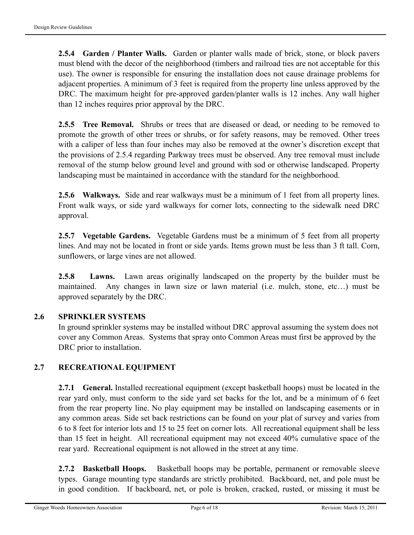**2.5.4 Garden / Planter Walls.** Garden or planter walls made of brick, stone, or block pavers must blend with the decor of the neighborhood (timbers and railroad ties are not acceptable for this use). The owner is responsible for ensuring the installation does not cause drainage problems for adjacent properties. A minimum of 3 feet is required from the property line unless approved by the DRC. The maximum height for pre-approved garden/planter walls is 12 inches. Any wall higher than 12 inches requires prior approval by the DRC.

**2.5.5 Tree Removal.** Shrubs or trees that are diseased or dead, or needing to be removed to promote the growth of other trees or shrubs, or for safety reasons, may be removed. Other trees with a caliper of less than four inches may also be removed at the owner's discretion except that the provisions of 2.5.4 regarding Parkway trees must be observed. Any tree removal must include removal of the stump below ground level and ground with sod or otherwise landscaped. Property landscaping must be maintained in accordance with the standard for the neighborhood.

**2.5.6 Walkways.** Side and rear walkways must be a minimum of 1 feet from all property lines. Front walk ways, or side yard walkways for corner lots, connecting to the sidewalk need DRC approval.

**2.5.7 Vegetable Gardens.** Vegetable Gardens must be a minimum of 5 feet from all property lines. And may not be located in front or side yards. Items grown must be less than 3 ft tall. Corn, sunflowers, or large vines are not allowed.

**2.5.8 Lawns.** Lawn areas originally landscaped on the property by the builder must be maintained. Any changes in lawn size or lawn material (i.e. mulch, stone, etc…) must be approved separately by the DRC.

#### **2.6 SPRINKLER SYSTEMS**

In ground sprinkler systems may be installed without DRC approval assuming the system does not cover any Common Areas. Systems that spray onto Common Areas must first be approved by the DRC prior to installation.

#### **2.7 RECREATIONAL EQUIPMENT**

**2.7.1 General.** Installed recreational equipment (except basketball hoops) must be located in the rear yard only, must conform to the side yard set backs for the lot, and be a minimum of 6 feet from the rear property line. No play equipment may be installed on landscaping easements or in any common areas. Side set back restrictions can be found on your plat of survey and varies from 6 to 8 feet for interior lots and 15 to 25 feet on corner lots. All recreational equipment shall be less than 15 feet in height. All recreational equipment may not exceed 40% cumulative space of the rear yard. Recreational equipment is not allowed in the street at any time.

**2.7.2 Basketball Hoops.** Basketball hoops may be portable, permanent or removable sleeve types. Garage mounting type standards are strictly prohibited. Backboard, net, and pole must be in good condition. If backboard, net, or pole is broken, cracked, rusted, or missing it must be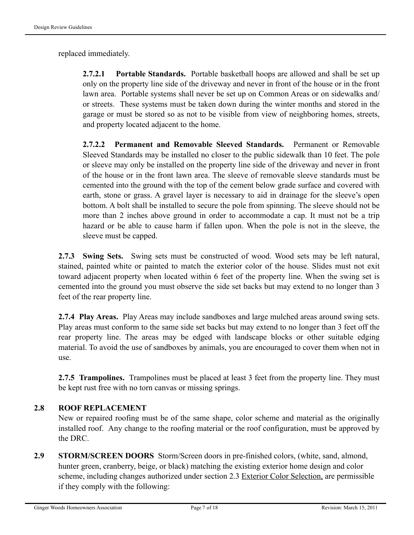replaced immediately.

**2.7.2.1 Portable Standards.** Portable basketball hoops are allowed and shall be set up only on the property line side of the driveway and never in front of the house or in the front lawn area. Portable systems shall never be set up on Common Areas or on sidewalks and/ or streets. These systems must be taken down during the winter months and stored in the garage or must be stored so as not to be visible from view of neighboring homes, streets, and property located adjacent to the home.

**2.7.2.2 Permanent and Removable Sleeved Standards.** Permanent or Removable Sleeved Standards may be installed no closer to the public sidewalk than 10 feet. The pole or sleeve may only be installed on the property line side of the driveway and never in front of the house or in the front lawn area. The sleeve of removable sleeve standards must be cemented into the ground with the top of the cement below grade surface and covered with earth, stone or grass. A gravel layer is necessary to aid in drainage for the sleeve's open bottom. A bolt shall be installed to secure the pole from spinning. The sleeve should not be more than 2 inches above ground in order to accommodate a cap. It must not be a trip hazard or be able to cause harm if fallen upon. When the pole is not in the sleeve, the sleeve must be capped.

**2.7.3 Swing Sets.** Swing sets must be constructed of wood. Wood sets may be left natural, stained, painted white or painted to match the exterior color of the house. Slides must not exit toward adjacent property when located within 6 feet of the property line. When the swing set is cemented into the ground you must observe the side set backs but may extend to no longer than 3 feet of the rear property line.

**2.7.4 Play Areas.** Play Areas may include sandboxes and large mulched areas around swing sets. Play areas must conform to the same side set backs but may extend to no longer than 3 feet off the rear property line. The areas may be edged with landscape blocks or other suitable edging material. To avoid the use of sandboxes by animals, you are encouraged to cover them when not in use.

**2.7.5 Trampolines.** Trampolines must be placed at least 3 feet from the property line. They must be kept rust free with no torn canvas or missing springs.

#### **2.8 ROOF REPLACEMENT**

New or repaired roofing must be of the same shape, color scheme and material as the originally installed roof. Any change to the roofing material or the roof configuration, must be approved by the DRC.

**2.9 STORM/SCREEN DOORS** Storm/Screen doors in pre-finished colors, (white, sand, almond, hunter green, cranberry, beige, or black) matching the existing exterior home design and color scheme, including changes authorized under section 2.3 Exterior Color Selection, are permissible if they comply with the following: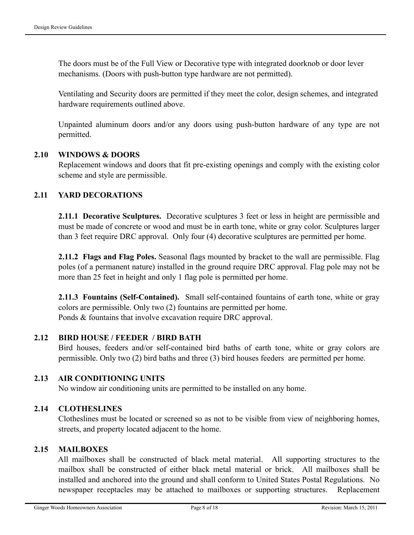The doors must be of the Full View or Decorative type with integrated doorknob or door lever mechanisms. (Doors with push-button type hardware are not permitted).

Ventilating and Security doors are permitted if they meet the color, design schemes, and integrated hardware requirements outlined above.

 Unpainted aluminum doors and/or any doors using push-button hardware of any type are not permitted.

#### **2.10 WINDOWS & DOORS**

Replacement windows and doors that fit pre-existing openings and comply with the existing color scheme and style are permissible.

#### **2.11 YARD DECORATIONS**

**2.11.1 Decorative Sculptures.** Decorative sculptures 3 feet or less in height are permissible and must be made of concrete or wood and must be in earth tone, white or gray color. Sculptures larger than 3 feet require DRC approval. Only four (4) decorative sculptures are permitted per home.

**2.11.2 Flags and Flag Poles.** Seasonal flags mounted by bracket to the wall are permissible. Flag poles (of a permanent nature) installed in the ground require DRC approval. Flag pole may not be more than 25 feet in height and only 1 flag pole is permitted per home.

**2.11.3 Fountains (Self-Contained).** Small self-contained fountains of earth tone, white or gray colors are permissible. Only two (2) fountains are permitted per home. Ponds & fountains that involve excavation require DRC approval.

#### **2.12 BIRD HOUSE / FEEDER / BIRD BATH**

 Bird houses, feeders and/or self-contained bird baths of earth tone, white or gray colors are permissible. Only two (2) bird baths and three (3) bird houses feeders are permitted per home.

#### **2.13 AIR CONDITIONING UNITS**

No window air conditioning units are permitted to be installed on any home.

#### **2.14 CLOTHESLINES**

 Clotheslines must be located or screened so as not to be visible from view of neighboring homes, streets, and property located adjacent to the home.

#### **2.15 MAILBOXES**

 All mailboxes shall be constructed of black metal material. All supporting structures to the mailbox shall be constructed of either black metal material or brick. All mailboxes shall be installed and anchored into the ground and shall conform to United States Postal Regulations. No newspaper receptacles may be attached to mailboxes or supporting structures. Replacement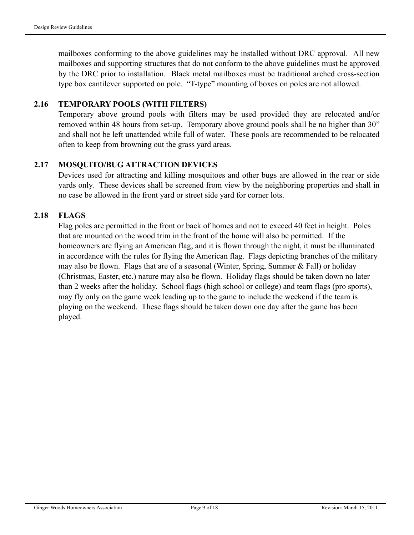mailboxes conforming to the above guidelines may be installed without DRC approval. All new mailboxes and supporting structures that do not conform to the above guidelines must be approved by the DRC prior to installation. Black metal mailboxes must be traditional arched cross-section type box cantilever supported on pole. "T-type" mounting of boxes on poles are not allowed.

#### **2.16 TEMPORARY POOLS (WITH FILTERS)**

Temporary above ground pools with filters may be used provided they are relocated and/or removed within 48 hours from set-up. Temporary above ground pools shall be no higher than 30" and shall not be left unattended while full of water. These pools are recommended to be relocated often to keep from browning out the grass yard areas.

#### **2.17 MOSQUITO/BUG ATTRACTION DEVICES**

Devices used for attracting and killing mosquitoes and other bugs are allowed in the rear or side yards only. These devices shall be screened from view by the neighboring properties and shall in no case be allowed in the front yard or street side yard for corner lots.

#### **2.18 FLAGS**

Flag poles are permitted in the front or back of homes and not to exceed 40 feet in height. Poles that are mounted on the wood trim in the front of the home will also be permitted. If the homeowners are flying an American flag, and it is flown through the night, it must be illuminated in accordance with the rules for flying the American flag. Flags depicting branches of the military may also be flown. Flags that are of a seasonal (Winter, Spring, Summer & Fall) or holiday (Christmas, Easter, etc.) nature may also be flown. Holiday flags should be taken down no later than 2 weeks after the holiday. School flags (high school or college) and team flags (pro sports), may fly only on the game week leading up to the game to include the weekend if the team is playing on the weekend. These flags should be taken down one day after the game has been played.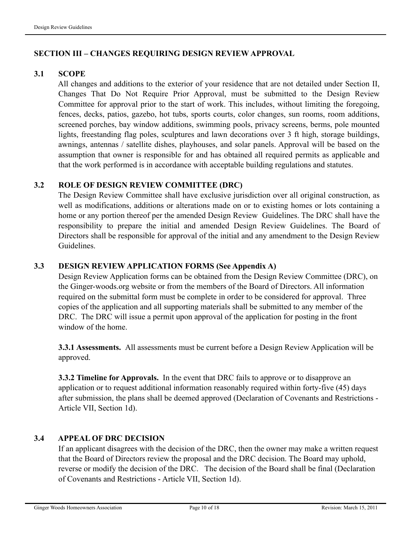#### **SECTION III – CHANGES REQUIRING DESIGN REVIEW APPROVAL**

#### **3.1 SCOPE**

 All changes and additions to the exterior of your residence that are not detailed under Section II, Changes That Do Not Require Prior Approval, must be submitted to the Design Review Committee for approval prior to the start of work. This includes, without limiting the foregoing, fences, decks, patios, gazebo, hot tubs, sports courts, color changes, sun rooms, room additions, screened porches, bay window additions, swimming pools, privacy screens, berms, pole mounted lights, freestanding flag poles, sculptures and lawn decorations over 3 ft high, storage buildings, awnings, antennas / satellite dishes, playhouses, and solar panels. Approval will be based on the assumption that owner is responsible for and has obtained all required permits as applicable and that the work performed is in accordance with acceptable building regulations and statutes.

#### **3.2 ROLE OF DESIGN REVIEW COMMITTEE (DRC)**

 The Design Review Committee shall have exclusive jurisdiction over all original construction, as well as modifications, additions or alterations made on or to existing homes or lots containing a home or any portion thereof per the amended Design Review Guidelines. The DRC shall have the responsibility to prepare the initial and amended Design Review Guidelines. The Board of Directors shall be responsible for approval of the initial and any amendment to the Design Review Guidelines.

#### **3.3 DESIGN REVIEW APPLICATION FORMS (See Appendix A)**

 Design Review Application forms can be obtained from the Design Review Committee (DRC), on the Ginger-woods.org website or from the members of the Board of Directors. All information required on the submittal form must be complete in order to be considered for approval. Three copies of the application and all supporting materials shall be submitted to any member of the DRC. The DRC will issue a permit upon approval of the application for posting in the front window of the home.

**3.3.1 Assessments.** All assessments must be current before a Design Review Application will be approved.

**3.3.2 Timeline for Approvals.** In the event that DRC fails to approve or to disapprove an application or to request additional information reasonably required within forty-five (45) days after submission, the plans shall be deemed approved (Declaration of Covenants and Restrictions - Article VII, Section 1d).

#### **3.4 APPEAL OF DRC DECISION**

If an applicant disagrees with the decision of the DRC, then the owner may make a written request that the Board of Directors review the proposal and the DRC decision. The Board may uphold, reverse or modify the decision of the DRC. The decision of the Board shall be final (Declaration of Covenants and Restrictions - Article VII, Section 1d).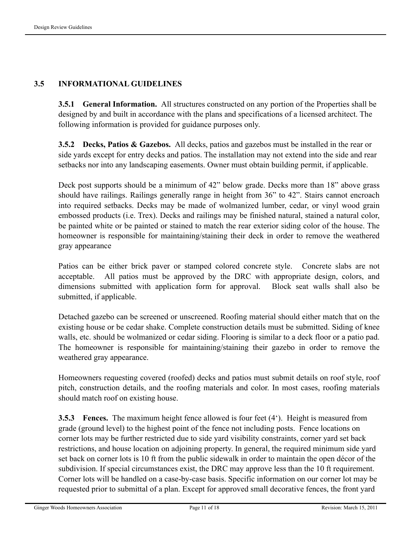#### **3.5 INFORMATIONAL GUIDELINES**

**3.5.1 General Information.** All structures constructed on any portion of the Properties shall be designed by and built in accordance with the plans and specifications of a licensed architect. The following information is provided for guidance purposes only.

**3.5.2 Decks, Patios & Gazebos.** All decks, patios and gazebos must be installed in the rear or side yards except for entry decks and patios. The installation may not extend into the side and rear setbacks nor into any landscaping easements. Owner must obtain building permit, if applicable.

Deck post supports should be a minimum of 42" below grade. Decks more than 18" above grass should have railings. Railings generally range in height from 36" to 42". Stairs cannot encroach into required setbacks. Decks may be made of wolmanized lumber, cedar, or vinyl wood grain embossed products (i.e. Trex). Decks and railings may be finished natural, stained a natural color, be painted white or be painted or stained to match the rear exterior siding color of the house. The homeowner is responsible for maintaining/staining their deck in order to remove the weathered gray appearance

 Patios can be either brick paver or stamped colored concrete style. Concrete slabs are not acceptable. All patios must be approved by the DRC with appropriate design, colors, and dimensions submitted with application form for approval. Block seat walls shall also be submitted, if applicable.

Detached gazebo can be screened or unscreened. Roofing material should either match that on the existing house or be cedar shake. Complete construction details must be submitted. Siding of knee walls, etc. should be wolmanized or cedar siding. Flooring is similar to a deck floor or a patio pad. The homeowner is responsible for maintaining/staining their gazebo in order to remove the weathered gray appearance.

Homeowners requesting covered (roofed) decks and patios must submit details on roof style, roof pitch, construction details, and the roofing materials and color. In most cases, roofing materials should match roof on existing house.

**3.5.3 Fences.** The maximum height fence allowed is four feet (4'). Height is measured from grade (ground level) to the highest point of the fence not including posts. Fence locations on corner lots may be further restricted due to side yard visibility constraints, corner yard set back restrictions, and house location on adjoining property. In general, the required minimum side yard set back on corner lots is 10 ft from the public sidewalk in order to maintain the open décor of the subdivision. If special circumstances exist, the DRC may approve less than the 10 ft requirement. Corner lots will be handled on a case-by-case basis. Specific information on our corner lot may be requested prior to submittal of a plan. Except for approved small decorative fences, the front yard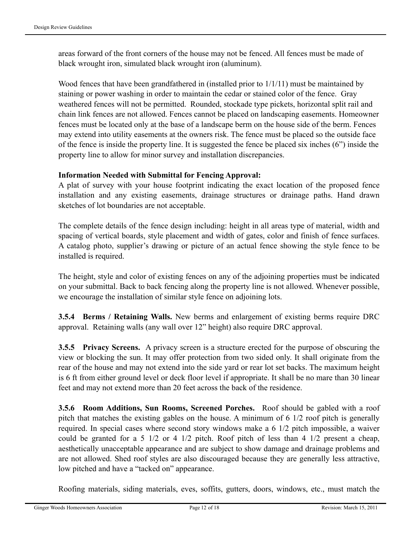areas forward of the front corners of the house may not be fenced. All fences must be made of black wrought iron, simulated black wrought iron (aluminum).

Wood fences that have been grandfathered in (installed prior to 1/1/11) must be maintained by staining or power washing in order to maintain the cedar or stained color of the fence. Gray weathered fences will not be permitted. Rounded, stockade type pickets, horizontal split rail and chain link fences are not allowed. Fences cannot be placed on landscaping easements. Homeowner fences must be located only at the base of a landscape berm on the house side of the berm. Fences may extend into utility easements at the owners risk. The fence must be placed so the outside face of the fence is inside the property line. It is suggested the fence be placed six inches (6") inside the property line to allow for minor survey and installation discrepancies.

#### **Information Needed with Submittal for Fencing Approval:**

A plat of survey with your house footprint indicating the exact location of the proposed fence installation and any existing easements, drainage structures or drainage paths. Hand drawn sketches of lot boundaries are not acceptable.

The complete details of the fence design including: height in all areas type of material, width and spacing of vertical boards, style placement and width of gates, color and finish of fence surfaces. A catalog photo, supplier's drawing or picture of an actual fence showing the style fence to be installed is required.

The height, style and color of existing fences on any of the adjoining properties must be indicated on your submittal. Back to back fencing along the property line is not allowed. Whenever possible, we encourage the installation of similar style fence on adjoining lots.

**3.5.4 Berms / Retaining Walls.** New berms and enlargement of existing berms require DRC approval. Retaining walls (any wall over 12" height) also require DRC approval.

**3.5.5 Privacy Screens.** A privacy screen is a structure erected for the purpose of obscuring the view or blocking the sun. It may offer protection from two sided only. It shall originate from the rear of the house and may not extend into the side yard or rear lot set backs. The maximum height is 6 ft from either ground level or deck floor level if appropriate. It shall be no mare than 30 linear feet and may not extend more than 20 feet across the back of the residence.

**3.5.6 Room Additions, Sun Rooms, Screened Porches.** Roof should be gabled with a roof pitch that matches the existing gables on the house. A minimum of 6 1/2 roof pitch is generally required. In special cases where second story windows make a 6 1/2 pitch impossible, a waiver could be granted for a 5 1/2 or 4 1/2 pitch. Roof pitch of less than 4 1/2 present a cheap, aesthetically unacceptable appearance and are subject to show damage and drainage problems and are not allowed. Shed roof styles are also discouraged because they are generally less attractive, low pitched and have a "tacked on" appearance.

Roofing materials, siding materials, eves, soffits, gutters, doors, windows, etc., must match the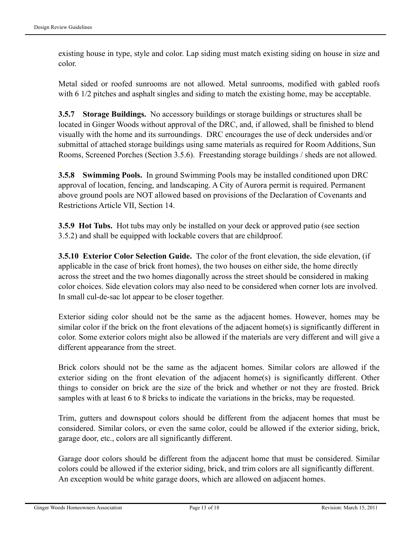existing house in type, style and color. Lap siding must match existing siding on house in size and color.

Metal sided or roofed sunrooms are not allowed. Metal sunrooms, modified with gabled roofs with 6 1/2 pitches and asphalt singles and siding to match the existing home, may be acceptable.

**3.5.7 Storage Buildings.** No accessory buildings or storage buildings or structures shall be located in Ginger Woods without approval of the DRC, and, if allowed, shall be finished to blend visually with the home and its surroundings. DRC encourages the use of deck undersides and/or submittal of attached storage buildings using same materials as required for Room Additions, Sun Rooms, Screened Porches (Section 3.5.6). Freestanding storage buildings / sheds are not allowed.

**3.5.8 Swimming Pools.** In ground Swimming Pools may be installed conditioned upon DRC approval of location, fencing, and landscaping. A City of Aurora permit is required. Permanent above ground pools are NOT allowed based on provisions of the Declaration of Covenants and Restrictions Article VII, Section 14.

**3.5.9 Hot Tubs.** Hot tubs may only be installed on your deck or approved patio (see section 3.5.2) and shall be equipped with lockable covers that are childproof.

**3.5.10 Exterior Color Selection Guide.** The color of the front elevation, the side elevation, (if applicable in the case of brick front homes), the two houses on either side, the home directly across the street and the two homes diagonally across the street should be considered in making color choices. Side elevation colors may also need to be considered when corner lots are involved. In small cul-de-sac lot appear to be closer together.

Exterior siding color should not be the same as the adjacent homes. However, homes may be similar color if the brick on the front elevations of the adjacent home(s) is significantly different in color. Some exterior colors might also be allowed if the materials are very different and will give a different appearance from the street.

Brick colors should not be the same as the adjacent homes. Similar colors are allowed if the exterior siding on the front elevation of the adjacent home(s) is significantly different. Other things to consider on brick are the size of the brick and whether or not they are frosted. Brick samples with at least 6 to 8 bricks to indicate the variations in the bricks, may be requested.

Trim, gutters and downspout colors should be different from the adjacent homes that must be considered. Similar colors, or even the same color, could be allowed if the exterior siding, brick, garage door, etc., colors are all significantly different.

Garage door colors should be different from the adjacent home that must be considered. Similar colors could be allowed if the exterior siding, brick, and trim colors are all significantly different. An exception would be white garage doors, which are allowed on adjacent homes.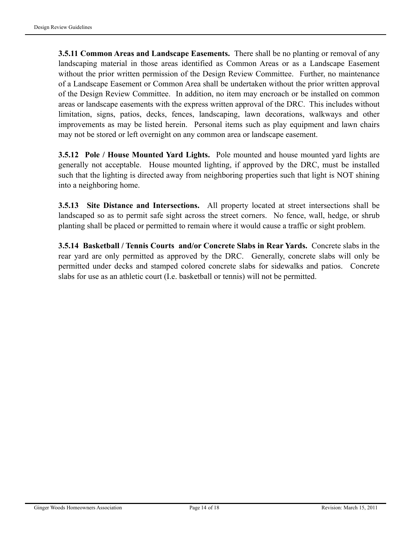**3.5.11 Common Areas and Landscape Easements.** There shall be no planting or removal of any landscaping material in those areas identified as Common Areas or as a Landscape Easement without the prior written permission of the Design Review Committee. Further, no maintenance of a Landscape Easement or Common Area shall be undertaken without the prior written approval of the Design Review Committee. In addition, no item may encroach or be installed on common areas or landscape easements with the express written approval of the DRC. This includes without limitation, signs, patios, decks, fences, landscaping, lawn decorations, walkways and other improvements as may be listed herein. Personal items such as play equipment and lawn chairs may not be stored or left overnight on any common area or landscape easement.

**3.5.12 Pole / House Mounted Yard Lights.** Pole mounted and house mounted yard lights are generally not acceptable. House mounted lighting, if approved by the DRC, must be installed such that the lighting is directed away from neighboring properties such that light is NOT shining into a neighboring home.

**3.5.13 Site Distance and Intersections.** All property located at street intersections shall be landscaped so as to permit safe sight across the street corners. No fence, wall, hedge, or shrub planting shall be placed or permitted to remain where it would cause a traffic or sight problem.

**3.5.14 Basketball / Tennis Courts and/or Concrete Slabs in Rear Yards.** Concrete slabs in the rear yard are only permitted as approved by the DRC. Generally, concrete slabs will only be permitted under decks and stamped colored concrete slabs for sidewalks and patios. Concrete slabs for use as an athletic court (I.e. basketball or tennis) will not be permitted.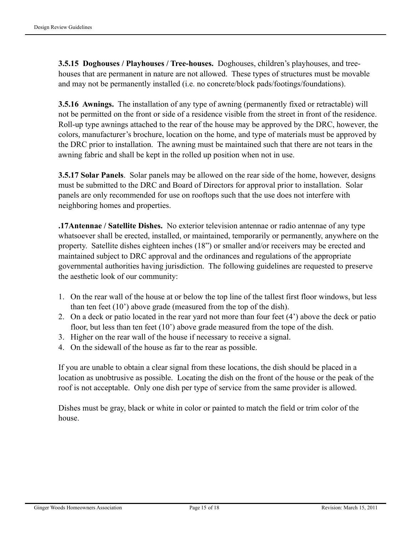**3.5.15 Doghouses / Playhouses / Tree-houses.** Doghouses, children's playhouses, and treehouses that are permanent in nature are not allowed. These types of structures must be movable and may not be permanently installed (i.e. no concrete/block pads/footings/foundations).

**3.5.16 Awnings.** The installation of any type of awning (permanently fixed or retractable) will not be permitted on the front or side of a residence visible from the street in front of the residence. Roll-up type awnings attached to the rear of the house may be approved by the DRC, however, the colors, manufacturer's brochure, location on the home, and type of materials must be approved by the DRC prior to installation. The awning must be maintained such that there are not tears in the awning fabric and shall be kept in the rolled up position when not in use.

**3.5.17 Solar Panels**. Solar panels may be allowed on the rear side of the home, however, designs must be submitted to the DRC and Board of Directors for approval prior to installation. Solar panels are only recommended for use on rooftops such that the use does not interfere with neighboring homes and properties.

**.17Antennae / Satellite Dishes.** No exterior television antennae or radio antennae of any type whatsoever shall be erected, installed, or maintained, temporarily or permanently, anywhere on the property. Satellite dishes eighteen inches (18") or smaller and/or receivers may be erected and maintained subject to DRC approval and the ordinances and regulations of the appropriate governmental authorities having jurisdiction. The following guidelines are requested to preserve the aesthetic look of our community:

- 1. On the rear wall of the house at or below the top line of the tallest first floor windows, but less than ten feet (10') above grade (measured from the top of the dish).
- 2. On a deck or patio located in the rear yard not more than four feet (4') above the deck or patio floor, but less than ten feet (10') above grade measured from the tope of the dish.
- 3. Higher on the rear wall of the house if necessary to receive a signal.
- 4. On the sidewall of the house as far to the rear as possible.

If you are unable to obtain a clear signal from these locations, the dish should be placed in a location as unobtrusive as possible. Locating the dish on the front of the house or the peak of the roof is not acceptable. Only one dish per type of service from the same provider is allowed.

Dishes must be gray, black or white in color or painted to match the field or trim color of the house.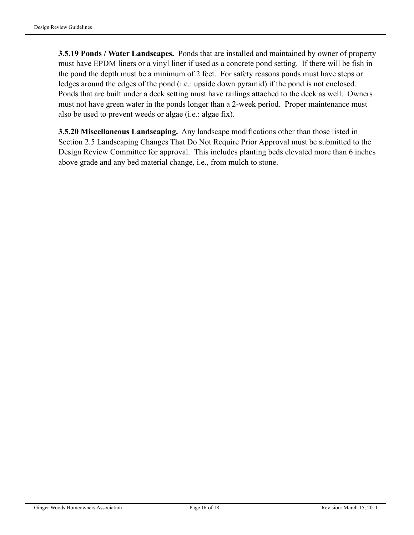**3.5.19 Ponds / Water Landscapes.** Ponds that are installed and maintained by owner of property must have EPDM liners or a vinyl liner if used as a concrete pond setting. If there will be fish in the pond the depth must be a minimum of 2 feet. For safety reasons ponds must have steps or ledges around the edges of the pond (i.e.: upside down pyramid) if the pond is not enclosed. Ponds that are built under a deck setting must have railings attached to the deck as well. Owners must not have green water in the ponds longer than a 2-week period. Proper maintenance must also be used to prevent weeds or algae (i.e.: algae fix).

**3.5.20 Miscellaneous Landscaping.** Any landscape modifications other than those listed in Section 2.5 Landscaping Changes That Do Not Require Prior Approval must be submitted to the Design Review Committee for approval. This includes planting beds elevated more than 6 inches above grade and any bed material change, i.e., from mulch to stone.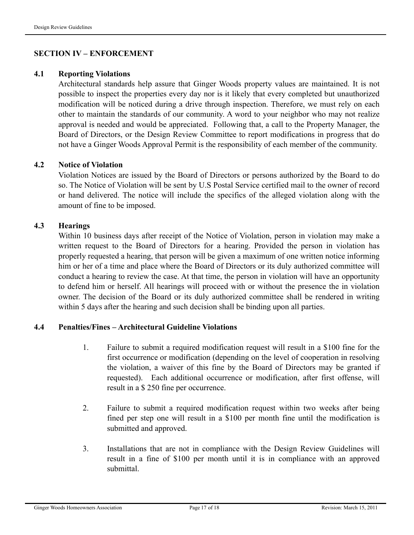#### **SECTION IV – ENFORCEMENT**

#### **4.1 Reporting Violations**

Architectural standards help assure that Ginger Woods property values are maintained. It is not possible to inspect the properties every day nor is it likely that every completed but unauthorized modification will be noticed during a drive through inspection. Therefore, we must rely on each other to maintain the standards of our community. A word to your neighbor who may not realize approval is needed and would be appreciated. Following that, a call to the Property Manager, the Board of Directors, or the Design Review Committee to report modifications in progress that do not have a Ginger Woods Approval Permit is the responsibility of each member of the community.

#### **4.2 Notice of Violation**

Violation Notices are issued by the Board of Directors or persons authorized by the Board to do so. The Notice of Violation will be sent by U.S Postal Service certified mail to the owner of record or hand delivered. The notice will include the specifics of the alleged violation along with the amount of fine to be imposed.

#### **4.3 Hearings**

Within 10 business days after receipt of the Notice of Violation, person in violation may make a written request to the Board of Directors for a hearing. Provided the person in violation has properly requested a hearing, that person will be given a maximum of one written notice informing him or her of a time and place where the Board of Directors or its duly authorized committee will conduct a hearing to review the case. At that time, the person in violation will have an opportunity to defend him or herself. All hearings will proceed with or without the presence the in violation owner. The decision of the Board or its duly authorized committee shall be rendered in writing within 5 days after the hearing and such decision shall be binding upon all parties.

#### **4.4 Penalties/Fines – Architectural Guideline Violations**

- 1. Failure to submit a required modification request will result in a \$100 fine for the first occurrence or modification (depending on the level of cooperation in resolving the violation, a waiver of this fine by the Board of Directors may be granted if requested). Each additional occurrence or modification, after first offense, will result in a \$ 250 fine per occurrence.
- 2. Failure to submit a required modification request within two weeks after being fined per step one will result in a \$100 per month fine until the modification is submitted and approved.
- 3. Installations that are not in compliance with the Design Review Guidelines will result in a fine of \$100 per month until it is in compliance with an approved submittal.